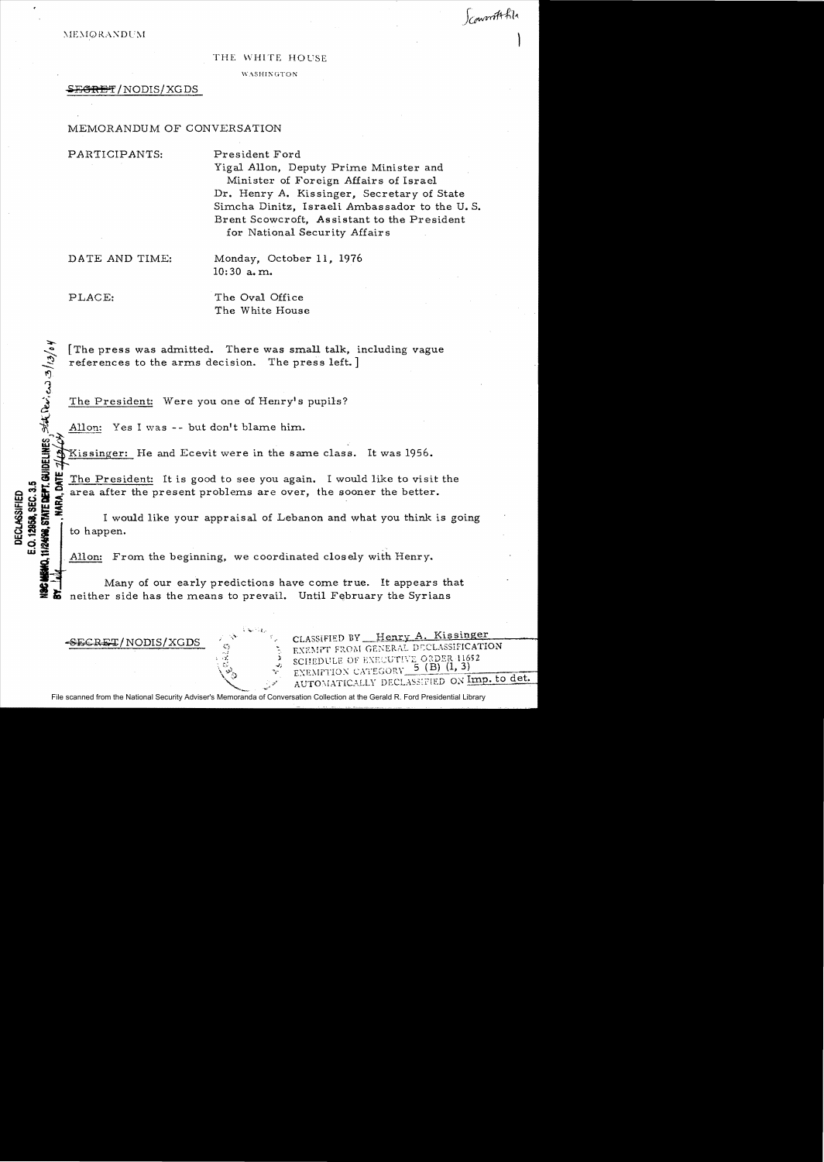## THE WHITE HOUSE

WASHINGTON

# SEGRET / NODIS / XGDS

# MEMORANDUM OF CONVERSATION

PARTICIPANTS: President Ford

Yigal Allon, Deputy Prime Minister and Minister of Foreign Affairs of Israel Dr. Henry A. Kissinger, Secretary of State Simcha Dinitz, Israeli Ambassador to the U. S. Brent Scowcroft, Assistant to the President for National Security Affairs

Scountt file

DATE AND TIME: Monday, October 11, 1976 10: 30 a. m.

 $\mathfrak{Z}$ 

**11/2498. STATE DEPT. GUIDELINES** 

PLACE: The Oval Office The White House

 $\frac{1}{2}$   $\frac{1}{2}$   $\frac{1}{6}$   $\frac{1}{2}$ [The press was admitted. There was small talk, including vague references to the arms decision. The press left. ]

The President: Were you one of Henry's pupils?

Allon: Yes I was -- but don't blame him.

Kissinger: He and Ecevit were in the same class. It was 1956.

1.0 The President: It is good to see you again. I would like to visit the<br>
1.0  $\frac{1}{2}$  area after the present problems are over, the sooner the better.<br>
1.0  $\frac{1}{2}$  is would like your appraisal of Lebanon and what you OF CORRECT area after the present problems are over, the sooner the better.<br> **WE CONSIDER THE SOLUTION OF A LET CONSIDER THE VALUE OF A LET CONSIDER THE VALUE OF A LET CONSIDER THE VALUE OF A<br>
<b>WORD CONSIDER THE VALUE OF A** I would like your appraisal of Lebanon and what you think is going to happen.

Allon: From the beginning, we coordinated closely with Henry.<br>
Many of our early predictions have come true. It appears that neither side has the means to prevail. Until February the Syrians

 $\sim$   $\sim$  1.5  $\mu$ 

 $-$ SE $\epsilon$ R $\pm$ T/NODIS/XGDS

CLASSIFIED BY Henry A. Kissinger EXEMPT FROM GENERAL DECLASSIFICATION SCHEDULE OF EXECUTIVE ORDER 11652 EXEMPTION CATEGORY 5 (B) (1, 3) AUTOMATICALLY DECLASSIFIED ON Imp. to det.

File scanned from the National Security Adviser's Memoranda of Conversation Collection at the Gerald R. Ford Presidential Library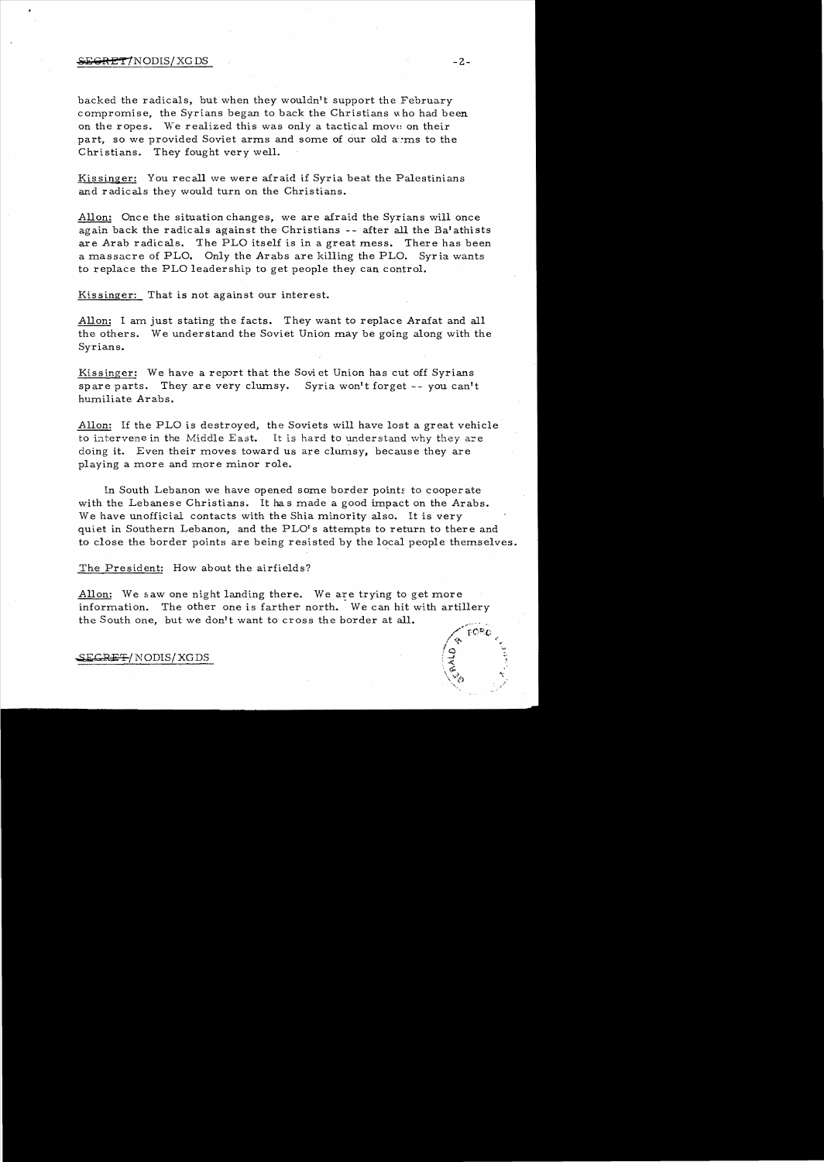### $\overline{\text{SEGRET}}$  /NODIS/ XG DS -2-

backed the radicals, but when they wouldn't support the February compromise, the Syrians began to back the Christians who had been on the ropes. We realized this was only a tactical move on their part, so we provided Soviet arms and some of our old ayms to the Christians. They fought very well.

Kissinger: You recall we were afraid if Syria beat the Palestinians and radicals they would turn on the Christians.

Allon: Once the situation changes, we are afraid the Syrians will once again back the radicals against the Christians -- after all the Ba'athists are Arab radicals. The PLO itself is in a great mess. There has been a massacre of PLO. Only the Arabs are killing the PLO. Syria wants to replace the PLO leadership to get people they can control.

Kissinger: That is not against our interest.

Allon: I am just stating the facts. They want to replace Arafat and all the others. We understand the Soviet Union may be going along with the Syrians.

Kissinger: We have a report that the Sovi et Union has cut off Syrians spare parts. They are very clumsy. Syria won't forget  $-$ - you can't humiliate Arabs.

Allon: If the PLO is destroyed, the Soviets will have lost a great vehicle to intervene in the Middle East. It is hard to understand why they are doing it. Even their moves toward us are clumsy, because they are playing a more and more minor role.

In South Lebanon we have opened some border points to cooperate with the Lebanese Christians. It ha s made a good impact on the Arabs. We have unofficial contacts with the Shia minority also. It is very quiet in Southern Lebanon, and the PLO's attempts to return to there and to close the border points are being resisted by the local people themselves.

The President: How about the airfields?

Allon: We saw one night landing there. We are trying to get more information. The other one is farther north. We can hit with artillery the South one, but we don't want to cross the border at all.  $\sqrt{PQPO}$ 

SE<del>CRET</del>/NODIS/XGDS

 $\sqrt{\frac{8}{9}}$  ,  $\frac{1}{3}$ 

 $\mathcal{L}^*$  , where  $\mathcal{L}^*$  $^{\bullet}$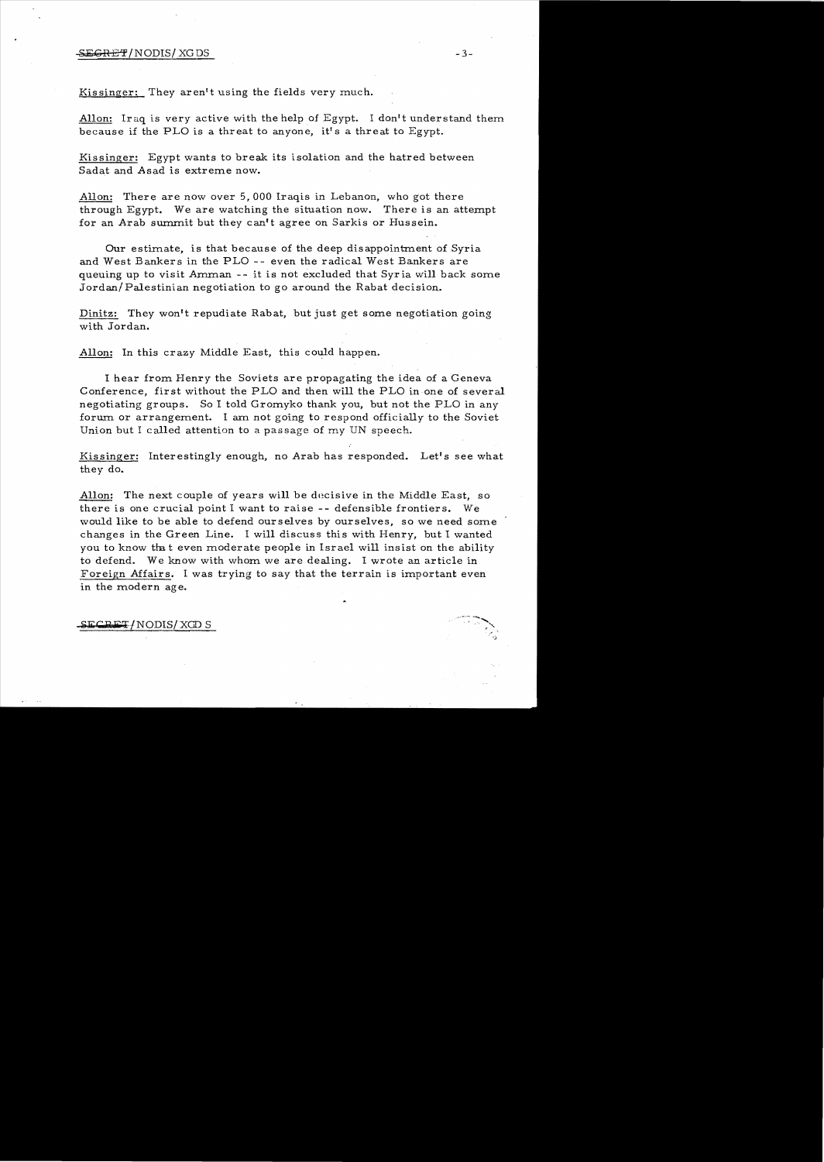#### $-SEGREFT/NODIS/KGDS$  -3-

Kissinger: They aren't using the fields very much.

Allon: Iraq is very active with the help of Egypt. I don't understand them because if the PLO is a threat to anyone, it's a threat to Egypt.

Kissinger: Egypt wants to break its isolation and the hatred between Sadat and Asad is extreme now.

Allon: There are now over 5,000 Iraqis in Lebanon, who got there through Egypt. We are watching the situation now. There is an attempt for an Arab summit but they can't agree on Sarkis or Hussein.

Our estimate, is that because of the deep disappointment of Syria and West Bankers in the PLO -- even the radical West Bankers are queuing up to visit Amman -- it is not excluded that Syria will back some Jordan/Palestinian negotiation to go around the Rabat decision.

Dinitz: They won't repudiate Rabat, but just get some negotiation going with Jordan.

Allon: In this crazy Middle East, this could happen.

I hear from Henry the Soviets are propagating the idea of a Geneva Conference, first without the PLO and then will the PLO in one of several negotiating groups. So I told Gromyko thank you, but not the PLO in any forum. or arrangement. I am not going to respond officially to the Soviet Union but I called attention to a passage of my UN speech.

Kissinger: Interestingly enough, no Arab has responded. Let's see what they do.

Allon: The next couple of years will be decisive in the Middle East, so there is one crucial point I want to raise -- defensible frontiers. We would like to be able to defend ourselves by ourselves, so we need some changes in the Green Line. I will discuss this with Henry, but I wanted you to know that even moderate people in Israel will insist on the ability to defend. We know with whom we are dealing. I wrote an article in Foreign Affairs. I was trying to say that the terrain is important even in the modern age.

 ${\tt ECRFT/NODIS/XGD S}$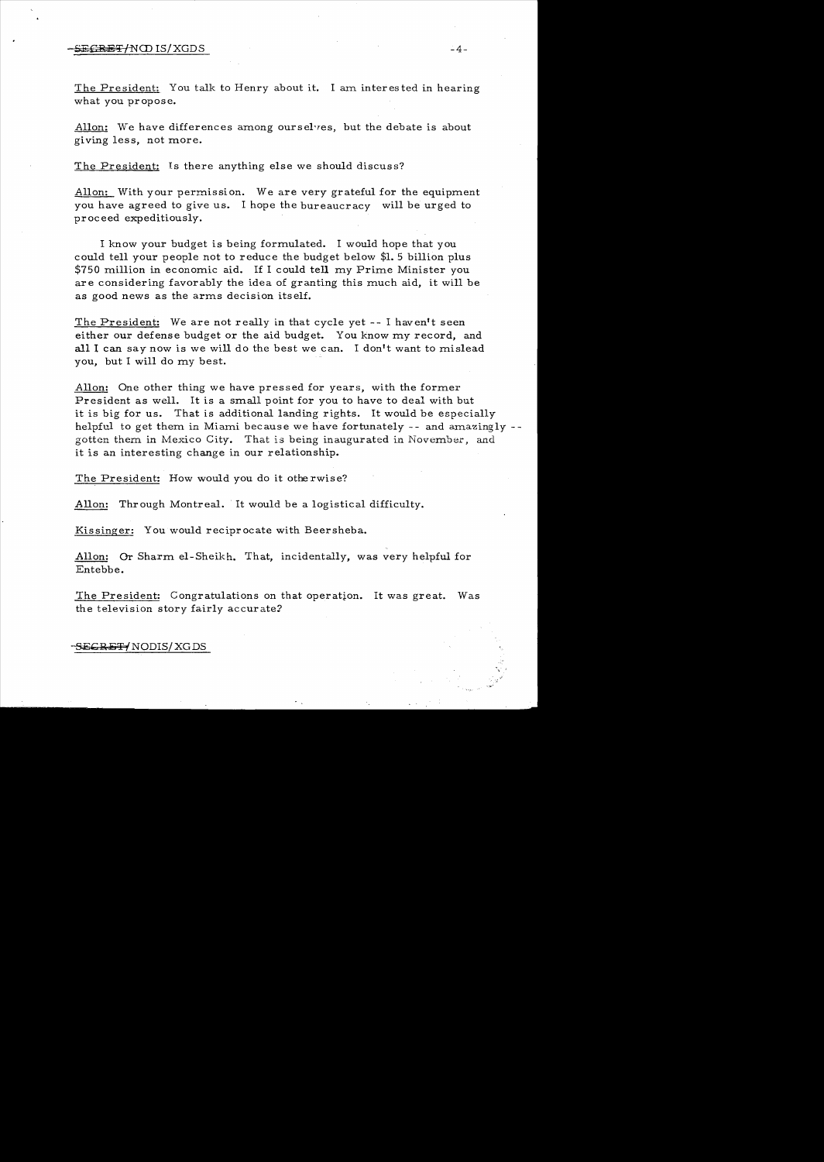## $-\text{SEERET/NOD IS/XGDS}$  -4-

The President: You talk to Henry about it. I am interested in hearing what you propose.

Allon: We have differences among ourselves, but the debate is about giving less, not more.

The President: Is there anything else we should discuss?

Allon: With your permission. We are very grateful for the equipment you have agreed to give us. I hope the bureaucracy will be urged to proceed expeditiously.

I know your budget is being formulated. I would hope that you could tell your people not to reduce the budget below \$1. 5 billion plus \$750 million in economic aid. If I could tell my Prime Minister you ar e considering favorably the idea of granting this much aid, it will be as good news as the arms decision itself.

The President: We are not really in that cycle yet -- I haven't seen either our defense budget or the aid budget. You know my record, and all I can say now is we will do the best we can. I don't want to mislead you, but I will do my best.

Allon: One other thing we have pressed for years, with the former President as well. It is a small point for you to have to deal with but it is big for us. That is additional landing rights. It would be especially helpful to get them in Miami because we have fortunately -- and amazingly -gotten them in Mexico City. That is being inaugurated in November, and it is an interesting change in our relationship.

The President: How would you do it otherwise?

Allon: Through Montreal. It would be a logistical difficulty.

Kissinger: You would reciprocate with Beersheba.

Allon: Or Sharm el-Sheikh. That, incidentally, was very helpful for Entebbe.

The President: Congratulations on that operation. It was great. Was the television story fairly accurate?

-<del>SECRET/</del> NODIS/ XG DS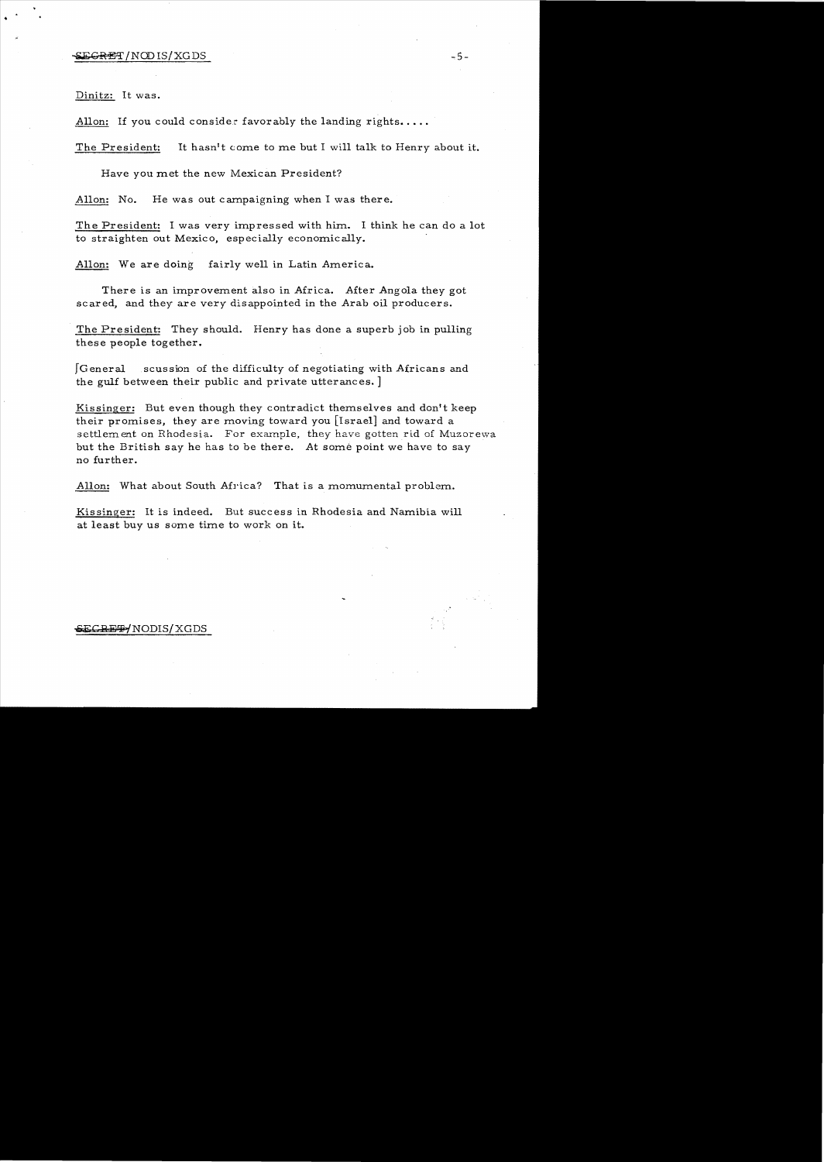# $-5 -$

Dinitz: It was.

Allon: If you could consider favorably the landing rights.....

The President: It hasn't *come* to me but I will talk to Henry about it.

Have you met the new Mexican President?

Allon: No. He was out campaigning when I was there.

The President: I was very impressed with him. I think he can do a lot to straighten out Mexico, especially economically.

Allon: We are doing fairly well in Latin America.

There is an improvement also in Africa. After Angola they got scared, and they are very disappointed in the Arab oil producers.

The President: They should. Henry has done a superb job in pulling these people together.

fGeneral scussion of the difficulty of negotiating with Africans and the gulf between their public and private utterances. ]

Kissinger: But even though they contradict themselves and don't keep their promises, they are moving toward you [Israel] and toward a settlement on Rhodesia. For example, they have gotten rid of Muzorewa but the British say he has to be there. At some point we have to say no further.

Allon: What about South Africa? That is a momumental problem.

Kissinger: It is indeed. But success in Rhodesia and Namibia will at least buy us some time to work on it.

#### $-$ ECRET/NODIS/XGDS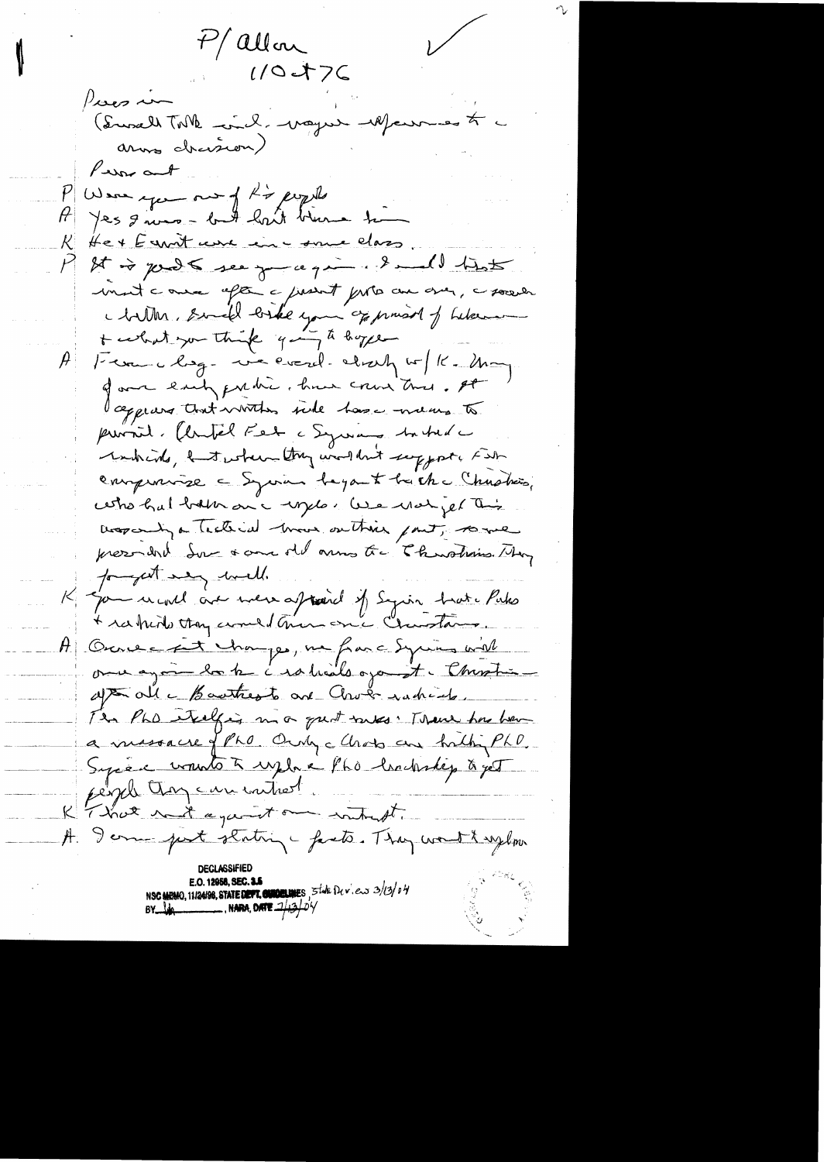7/ allon

 $\diagup$ 

 $1/0476$  $p_{\mathcal{S}}$ (Susalt Toth -ind. bayer -1Plans arms chasion) Person and Were you on of his people Jes gives - but hat blanc to He + E unit une une some class It is just see you give it will treat munt comme after a justit proto am over, a society chillen, someble biske your oppressed of belance + certification think going to hope Kerne chaq-ve everel-about w/K.Ma of our early quedic, have cours this. It appears that writing side has mens to pursit. (lutél Fet a Syrang battel à whinds, I tester they wouldn't support Far enugenciase - Sycran bayant bach-Chastien, cettro hal botton on a unglo. We won jet this Desparing a Tecterial move on Their part, some presential Sur a come old arms to Churchine They forget very well. James une à mer appareil of Syrin trate Pulso A Ouvert happe, ne faire Equine will once again la be instituts open it. Chrostin apt alle Bautres to and Chock rachiede. The PLD etalgies ma quot saves : There has have a messacre of Pho Only clients are half PhD. Syrén voutot vylon Phó lenderly à yet people than can intrest. K That with a gaint one without. A Jerme part stating prets. They would uploo NSC MEMO, 11/24/98, STATE DEPT. CURDELINES, 5 twk Dev.ew 3/13/04 , NARA, DATE ...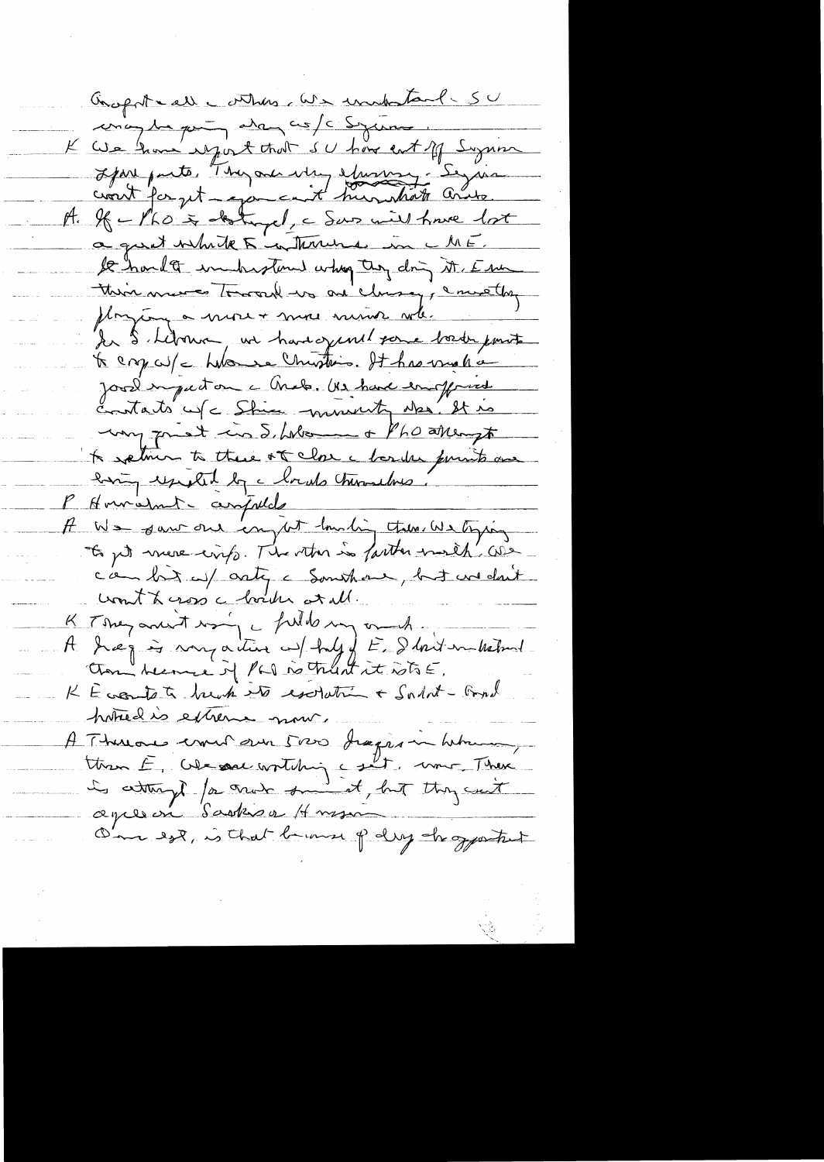Gropotral entrer as undertand- SU inigen par avances/c Syring K We have regist that su have entiff Syrian Jepare parts, They are why showing - Seyman A. If  $\angle$ Pho is detryel, a Sans will have lot a great white 5 in Thousand in ME. le hard to inchrotund why they dring it. Esse this messes Toward we are closeny, ence they ployeng a more + more moins when In S Library we have gent some back part te cry cu/c hubonne Christian. It has vinale Jose impaction a Chalo. Us have enoffred contacts us = Shim munity who it is my great in S. Women + Pho attempt A sptine to these of close a bander punits are bing useful by charals throubles. P Hourismet compulate A We saw our empt louding tres we typing to jut more cinq. The other is farther morth we c'an bit up arty a Somthour, but we don't count te cross à bouter at all. A Jeg is my active w/ huly of E. Shrit in habit Chan "herme of PLI no truth it who E. K Eccentate buch et escription + Salat-Gord hotred is extreme mour. A Thereone comen our 5000 Juges in heterogy ttren E, We sac writching coult, une There<br>is estingt for crain sminist, but they cuit One est, is that because of dry shapartest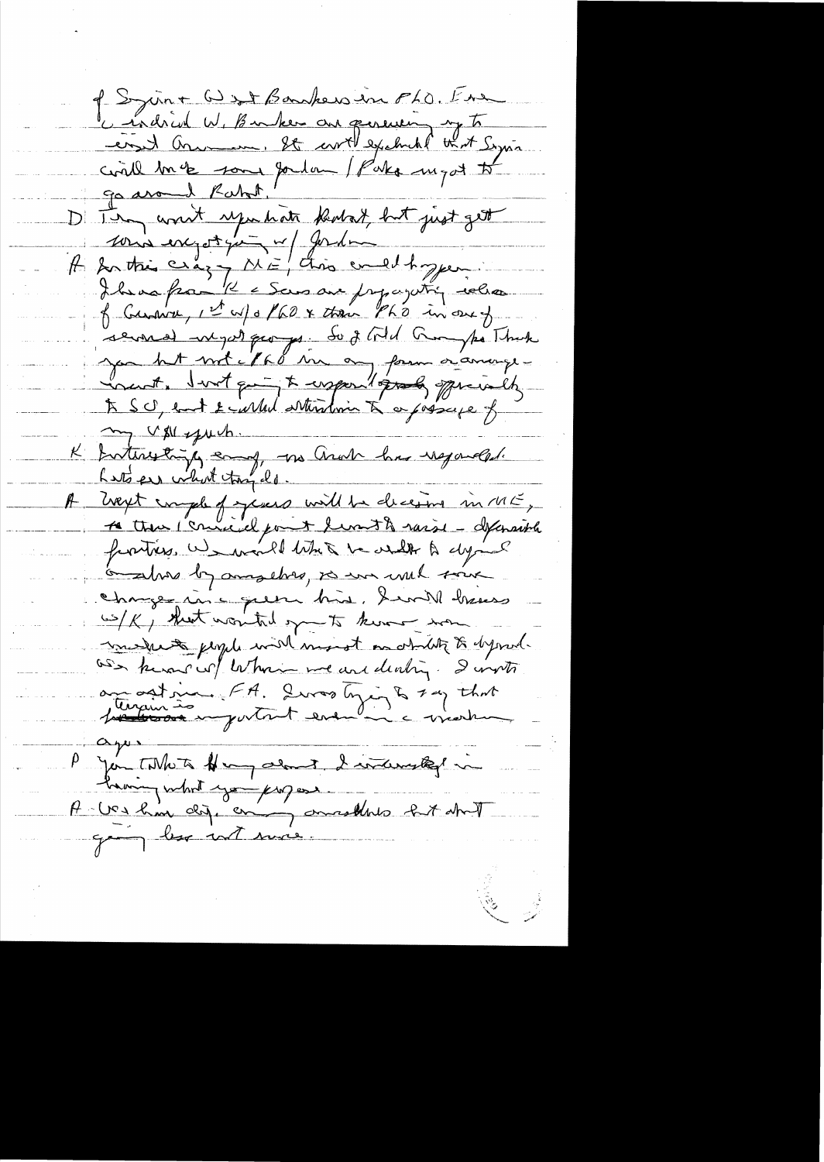P. Syrin+ 6) set Bankers in FLO. Ene civil me son portan / Pako myd to D'In won't republish kodst, but just get sous exporter a fonder " f Curru 1et u/ 0/60 x their Ph's in one of renned inget quoyes. So it til trompe That my UM spuch. K Interestingly early, we arab has negarded. Laté en vilot tay de. A west comple of yeses will be deceived in ME, A true connaissant lunit à raiss - déparaité frontiers we would like to write a dying in the by anything to we wish tout Changer in c queen his. I will have wilk, that wonted open to know wow. medicate people will most on ability to dynad. as known of whom we are dealing. I wint au autoine FA. Quas tying & 1 ag that  $\alpha$  por Jan Tillets Hongalout I internated in having what you proposed<br>A lies home dig. en pourrelled but about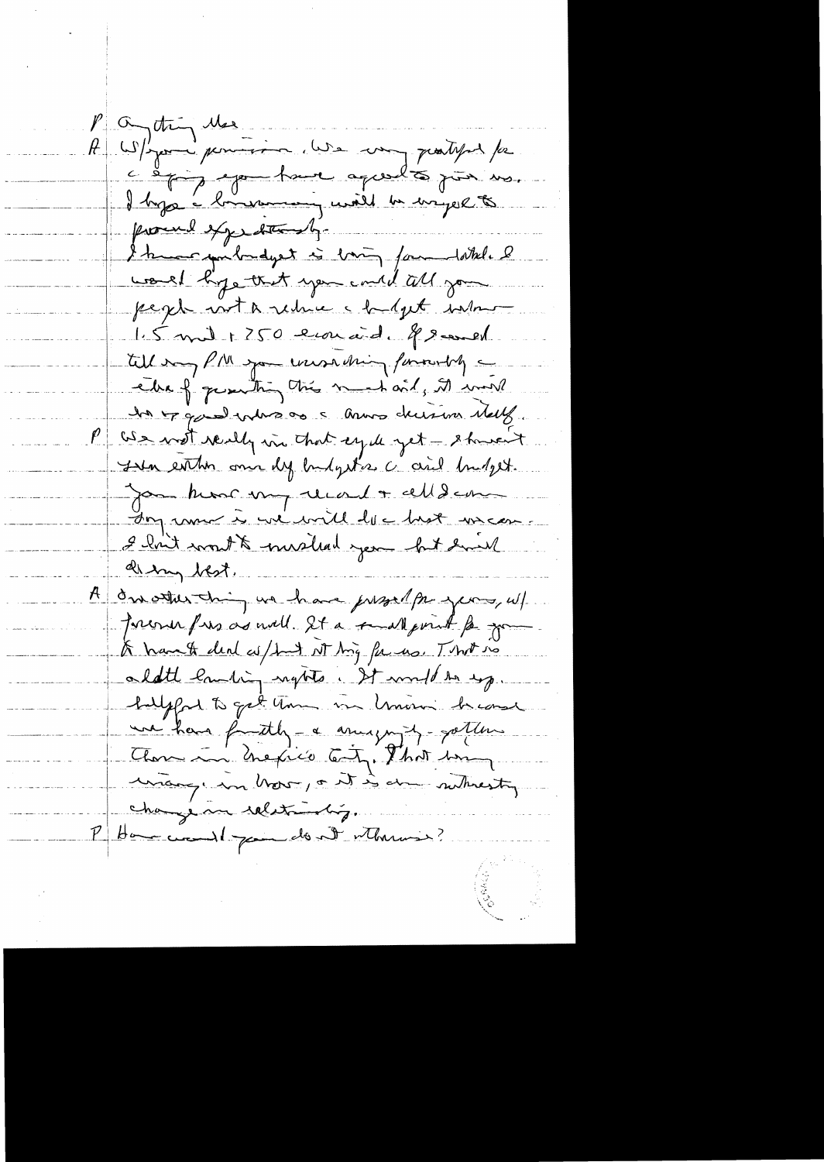P a try the A W/you pourrir use un partyrs /a I hype a brinnering will be wright to proced expeditionly. I know you bundyet is born for dottel. I would hope that you could tell you peger with reduce a halpt well 1.5 mil + 250 erriaid. 8 sevel till my PM you unsulting funnely elle of quanting this much only it will la Fase ratio de l'année deux melles. P Ge wat really in that ege yet - showent The entire one dy budgets a and budget. Jon kom my record + celld com In run à viente la base uncon I had won't mushed you but have di ing best. A dre other thing we have present pour years, w/ Freener free as well. It a small point for your A hand deal as had at hig for us. That no aldthe landing nights. It would be up. halfford to get them in lemon heard une have fautily - a anugury - gotten Those in hexico Cety, That having unange in how, out is done subvesty change me relationship. Hammer 1 point de St Monnier?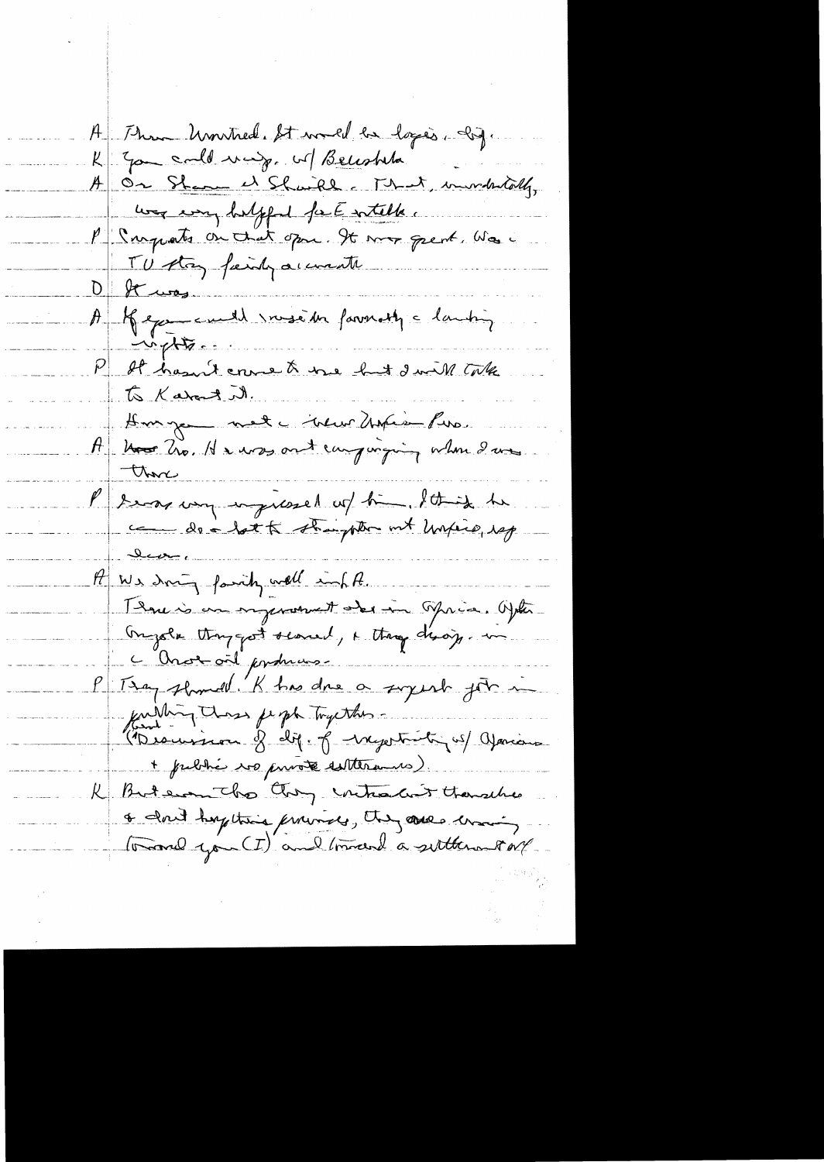A Thun United St world be logic. Ing. K Jan call may. M Becohla A On Shame et Shaikh c That, immediately, was every helpful fact witcher. P Surpats on that open. It was great was TU stay fainty accorate  $D$  of was. A Kepe cuille vousi de favoratif à lanting  $-$ ingl $\frac{1}{2}$ P At hasn't cross to the hut I will take to Karat it. A Monge net ineur Unie Pira. those P 2 mas von inguesel un time. It is te <u>ے لگ</u>ے ۔  $H$  We doing family well inf A. Thou is an ingenoment aber in Misce. Opter Ongole thought seared, a thought desay .... C'Onorail produces fulling those feept Tryestons -"Beauvisen of dif. of negotiating us/ aparison + public vo puisse sitterans). R Butern The they intracted thoughts & don't haptime provide, they are crain tomand you (I) and tomand a settlement of